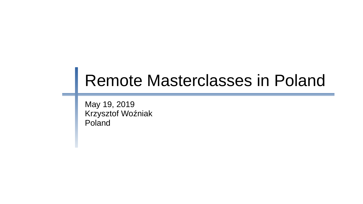# Remote Masterclasses in Poland

May 19, 2019 Krzysztof Woźniak Poland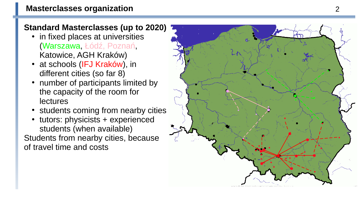## **Standard Masterclasses (up to 2020)**

- in fixed places at universities (Warszawa, Łódź, Poznań, Katowice, AGH Kraków)
- at schools (IFJ Kraków), in different cities (so far 8)
- number of participants limited by the capacity of the room for lectures
- students coming from nearby cities
- tutors: physicists  $+$  experienced students (when available) Students from nearby cities, because of travel time and costs

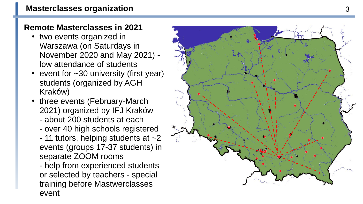## **Remote Masterclasses in 2021**

- two events organized in Warszawa (on Saturdays in November 2020 and May 2021) low attendance of students
- event for  $\sim$ 30 university (first year) students (organized by AGH Kraków)
- three events (February-March 2021) organized by IFJ Kraków
	- about 200 students at each
	- over 40 high schools registered
	- 11 tutors, helping students at  $\sim$ 2 events (groups 17-37 students) in separate ZOOM rooms

- help from experienced students or selected by teachers - special training before Mastwerclasses event

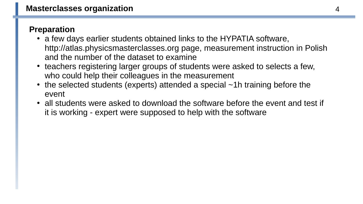#### **Preparation**

- a few days earlier students obtained links to the HYPATIA software, http://atlas.physicsmasterclasses.org page, measurement instruction in Polish and the number of the dataset to examine
- teachers registering larger groups of students were asked to selects a few, who could help their colleagues in the measurement
- $\cdot$  the selected students (experts) attended a special  $\neg$ 1h training before the event
- all students were asked to download the software before the event and test if it is working - expert were supposed to help with the software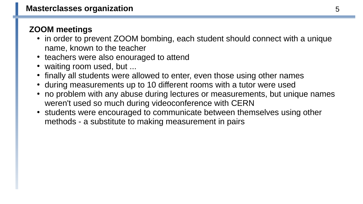## **ZOOM meetings**

- in order to prevent ZOOM bombing, each student should connect with a unique name, known to the teacher
- teachers were also enouraged to attend
- waiting room used, but ...
- finally all students were allowed to enter, even those using other names
- during measurements up to 10 different rooms with a tutor were used
- no problem with any abuse during lectures or measurements, but unique names weren't used so much during videoconference with CERN
- students were encouraged to communicate between themselves using other methods - a substitute to making measurement in pairs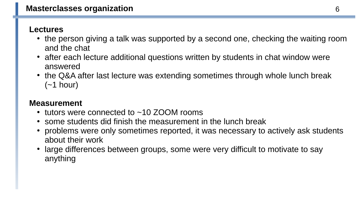#### **Lectures**

- the person giving a talk was supported by a second one, checking the waiting room and the chat
- after each lecture additional questions written by students in chat window were answered
- the Q&A after last lecture was extending sometimes through whole lunch break  $(-1$  hour)

#### **Measurement**

- tutors were connected to  $\sim$ 10 ZOOM rooms
- $\cdot$  some students did finish the measurement in the lunch break
- problems were only sometimes reported, it was necessary to actively ask students about their work
- large differences between groups, some were very difficult to motivate to say anything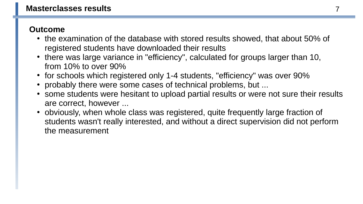#### **Outcome**

- the examination of the database with stored results showed, that about 50% of registered students have downloaded their results
- there was large variance in "efficiency", calculated for groups larger than 10, from 10% to over 90%
- for schools which registered only 1-4 students, "efficiency" was over 90%
- probably there were some cases of technical problems, but ...
- some students were hesitant to upload partial results or were not sure their results are correct, however ...
- obviously, when whole class was registered, quite frequently large fraction of students wasn't really interested, and without a direct supervision did not perform the measurement